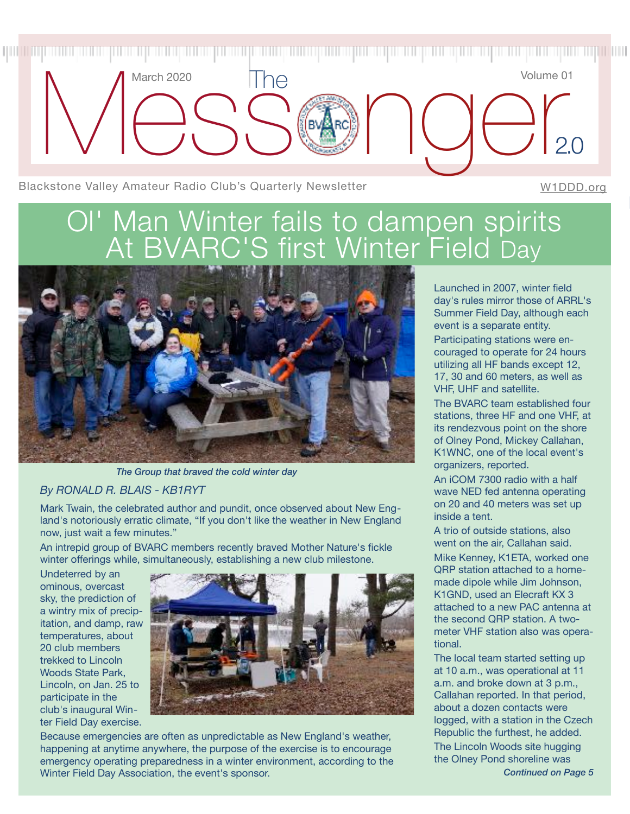

# Ol' Man Winter fails to dampen spirits At BVARC'S first Winter Field Day



*The Group that braved the cold winter day*

#### *By RONALD R. BLAIS - KB1RYT*

Mark Twain, the celebrated author and pundit, once observed about New England's notoriously erratic climate, "If you don't like the weather in New England now, just wait a few minutes."

An intrepid group of BVARC members recently braved Mother Nature's fickle winter offerings while, simultaneously, establishing a new club milestone.

Undeterred by an ominous, overcast sky, the prediction of a wintry mix of precipitation, and damp, raw temperatures, about 20 club members trekked to Lincoln Woods State Park, Lincoln, on Jan. 25 to participate in the club's inaugural Winter Field Day exercise.



Because emergencies are often as unpredictable as New England's weather, happening at anytime anywhere, the purpose of the exercise is to encourage emergency operating preparedness in a winter environment, according to the Winter Field Day Association, the event's sponsor.

Launched in 2007, winter field day's rules mirror those of ARRL's Summer Field Day, although each event is a separate entity. Participating stations were encouraged to operate for 24 hours utilizing all HF bands except 12, 17, 30 and 60 meters, as well as VHF, UHF and satellite.

The BVARC team established four stations, three HF and one VHF, at its rendezvous point on the shore of Olney Pond, Mickey Callahan, K1WNC, one of the local event's organizers, reported.

An iCOM 7300 radio with a half wave NED fed antenna operating on 20 and 40 meters was set up inside a tent.

A trio of outside stations, also went on the air, Callahan said.

Mike Kenney, K1ETA, worked one QRP station attached to a homemade dipole while Jim Johnson, K1GND, used an Elecraft KX 3 attached to a new PAC antenna at the second QRP station. A twometer VHF station also was operational.

The local team started setting up at 10 a.m., was operational at 11 a.m. and broke down at 3 p.m., Callahan reported. In that period, about a dozen contacts were logged, with a station in the Czech Republic the furthest, he added. The Lincoln Woods site hugging the Olney Pond shoreline was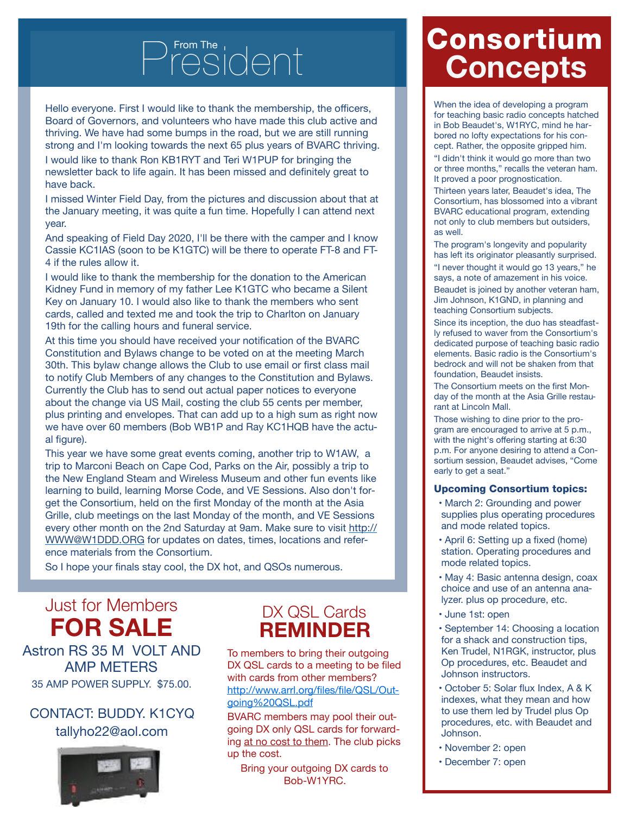# From The  $\bigcap_{n=1}^{\infty}$

Hello everyone. First I would like to thank the membership, the officers, Board of Governors, and volunteers who have made this club active and thriving. We have had some bumps in the road, but we are still running strong and I'm looking towards the next 65 plus years of BVARC thriving.

I would like to thank Ron KB1RYT and Teri W1PUP for bringing the newsletter back to life again. It has been missed and definitely great to have back.

I missed Winter Field Day, from the pictures and discussion about that at the January meeting, it was quite a fun time. Hopefully I can attend next year.

And speaking of Field Day 2020, I'll be there with the camper and I know Cassie KC1IAS (soon to be K1GTC) will be there to operate FT-8 and FT-4 if the rules allow it.

I would like to thank the membership for the donation to the American Kidney Fund in memory of my father Lee K1GTC who became a Silent Key on January 10. I would also like to thank the members who sent cards, called and texted me and took the trip to Charlton on January 19th for the calling hours and funeral service.

At this time you should have received your notification of the BVARC Constitution and Bylaws change to be voted on at the meeting March 30th. This bylaw change allows the Club to use email or first class mail to notify Club Members of any changes to the Constitution and Bylaws. Currently the Club has to send out actual paper notices to everyone about the change via US Mail, costing the club 55 cents per member, plus printing and envelopes. That can add up to a high sum as right now we have over 60 members (Bob WB1P and Ray KC1HQB have the actual figure).

This year we have some great events coming, another trip to W1AW, a trip to Marconi Beach on Cape Cod, Parks on the Air, possibly a trip to the New England Steam and Wireless Museum and other fun events like learning to build, learning Morse Code, and VE Sessions. Also don't forget the Consortium, held on the first Monday of the month at the Asia Grille, club meetings on the last Monday of the month, and VE Sessions every other month on the 2nd Saturday at 9am. Make sure to visit [http://](http://WWW@w1ddd.org/) [WWW@W1DDD.ORG](http://WWW@w1ddd.org/) for updates on dates, times, locations and reference materials from the Consortium.

So I hope your finals stay cool, the DX hot, and QSOs numerous.

# Just for Members **FOR SALE**

Astron RS 35 M VOLT AND AMP METERS 35 AMP POWER SUPPLY. \$75.00.

### CONTACT: BUDDY. K1CYQ tallyho22@aol.com



## DX OSL Cards **REMINDER**

To members to bring their outgoing DX QSL cards to a meeting to be filed with cards from other members? [http://www.arrl.org/files/file/QSL/Out](http://www.arrl.org/files/file/QSL/Outgoing%20QSL.pdf)[going%20QSL.pdf](http://www.arrl.org/files/file/QSL/Outgoing%20QSL.pdf)

BVARC members may pool their outgoing DX only QSL cards for forwarding at no cost to them. The club picks up the cost.

Bring your outgoing DX cards to Bob-W1YRC.

# Consortium **Concepts**

When the idea of developing a program for teaching basic radio concepts hatched in Bob Beaudet's, W1RYC, mind he harbored no lofty expectations for his concept. Rather, the opposite gripped him.

"I didn't think it would go more than two or three months," recalls the veteran ham. It proved a poor prognostication.

Thirteen years later, Beaudet's idea, The Consortium, has blossomed into a vibrant BVARC educational program, extending not only to club members but outsiders, as well.

The program's longevity and popularity has left its originator pleasantly surprised. "I never thought it would go 13 years," he says, a note of amazement in his voice.

Beaudet is joined by another veteran ham, Jim Johnson, K1GND, in planning and teaching Consortium subjects.

Since its inception, the duo has steadfastly refused to waver from the Consortium's dedicated purpose of teaching basic radio elements. Basic radio is the Consortium's bedrock and will not be shaken from that foundation, Beaudet insists.

The Consortium meets on the first Monday of the month at the Asia Grille restaurant at Lincoln Mall.

Those wishing to dine prior to the program are encouraged to arrive at 5 p.m., with the night's offering starting at 6:30 p.m. For anyone desiring to attend a Consortium session, Beaudet advises, "Come early to get a seat."

#### Upcoming Consortium topics:

- March 2: Grounding and power supplies plus operating procedures and mode related topics.
- April 6: Setting up a fixed (home) station. Operating procedures and mode related topics.
- May 4: Basic antenna design, coax choice and use of an antenna analyzer. plus op procedure, etc.
- June 1st: open
- September 14: Choosing a location for a shack and construction tips, Ken Trudel, N1RGK, instructor, plus Op procedures, etc. Beaudet and Johnson instructors.
- October 5: Solar flux Index, A & K indexes, what they mean and how to use them led by Trudel plus Op procedures, etc. with Beaudet and Johnson.
- November 2: open
- December 7: open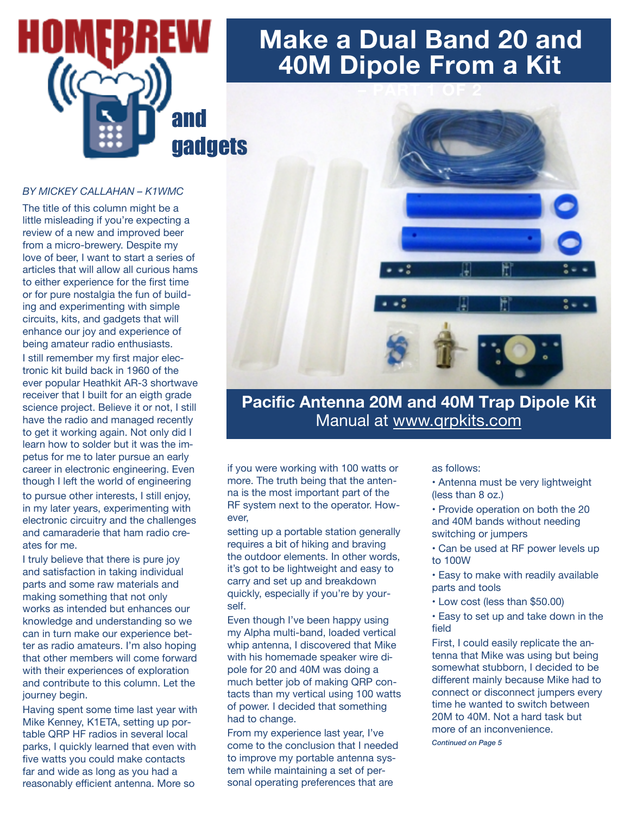

# **Make a Dual Band 20 and 40M Dipole From a Kit**

#### *BY MICKEY CALLAHAN – K1WMC*

The title of this column might be a little misleading if you're expecting a review of a new and improved beer from a micro-brewery. Despite my love of beer, I want to start a series of articles that will allow all curious hams to either experience for the first time or for pure nostalgia the fun of building and experimenting with simple circuits, kits, and gadgets that will enhance our joy and experience of being amateur radio enthusiasts. I still remember my first major electronic kit build back in 1960 of the ever popular Heathkit AR-3 shortwave receiver that I built for an eigth grade science project. Believe it or not, I still have the radio and managed recently to get it working again. Not only did I learn how to solder but it was the impetus for me to later pursue an early career in electronic engineering. Even though I left the world of engineering to pursue other interests, I still enjoy, in my later years, experimenting with electronic circuitry and the challenges and camaraderie that ham radio creates for me.

I truly believe that there is pure joy and satisfaction in taking individual parts and some raw materials and making something that not only works as intended but enhances our knowledge and understanding so we can in turn make our experience better as radio amateurs. I'm also hoping that other members will come forward with their experiences of exploration and contribute to this column. Let the journey begin.

Having spent some time last year with Mike Kenney, K1ETA, setting up portable QRP HF radios in several local parks, I quickly learned that even with five watts you could make contacts far and wide as long as you had a reasonably efficient antenna. More so



## **Pacific Antenna 20M and 40M Trap Dipole Kit**  Manual at [www.qrpkits.com](http://www.qrpkits.com)

if you were working with 100 watts or more. The truth being that the antenna is the most important part of the RF system next to the operator. However,

setting up a portable station generally requires a bit of hiking and braving the outdoor elements. In other words, it's got to be lightweight and easy to carry and set up and breakdown quickly, especially if you're by yourself.

Even though I've been happy using my Alpha multi-band, loaded vertical whip antenna, I discovered that Mike with his homemade speaker wire dipole for 20 and 40M was doing a much better job of making QRP contacts than my vertical using 100 watts of power. I decided that something had to change.

From my experience last year, I've come to the conclusion that I needed to improve my portable antenna system while maintaining a set of personal operating preferences that are

as follows:

- Antenna must be very lightweight (less than 8 oz.)
- Provide operation on both the 20 and 40M bands without needing switching or jumpers
- Can be used at RF power levels up to 100W
- Easy to make with readily available parts and tools
- Low cost (less than \$50.00)
- Easy to set up and take down in the field

First, I could easily replicate the antenna that Mike was using but being somewhat stubborn, I decided to be different mainly because Mike had to connect or disconnect jumpers every time he wanted to switch between 20M to 40M. Not a hard task but more of an inconvenience. *Continued on Page 5*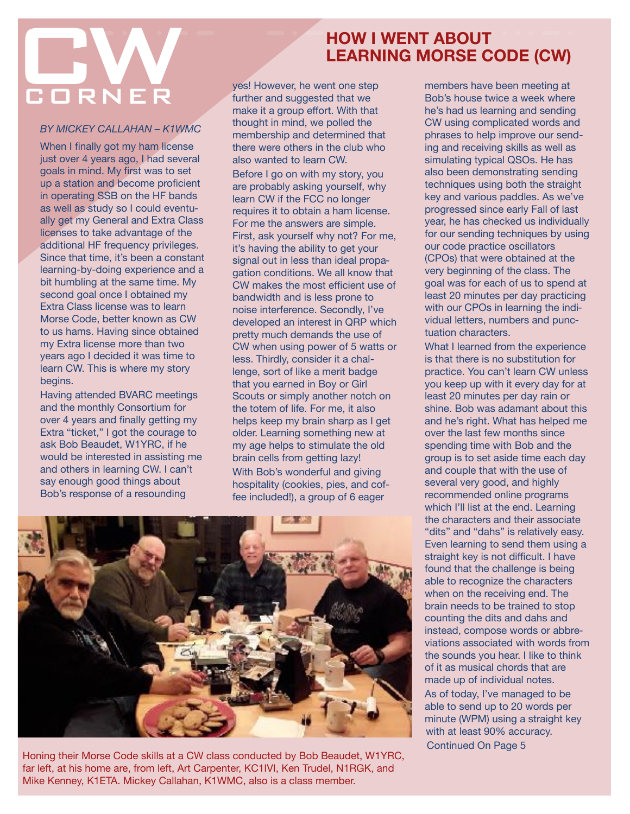# **HOW I WENT ABOUT<br>LEARNING MORSE CODE (CW)**<br>Ves! However, he went one step<br>further and suggested that we Bob's house twice a week where **CORNER**

*BY MICKEY CALLAHAN – K1WMC* 

When I finally got my ham license just over 4 years ago, I had several goals in mind. My first was to set up a station and become proficient in operating SSB on the HF bands as well as study so I could eventually get my General and Extra Class licenses to take advantage of the additional HF frequency privileges. Since that time, it's been a constant learning-by-doing experience and a bit humbling at the same time. My second goal once I obtained my Extra Class license was to learn Morse Code, better known as CW to us hams. Having since obtained my Extra license more than two years ago I decided it was time to learn CW. This is where my story begins.

Having attended BVARC meetings and the monthly Consortium for over 4 years and finally getting my Extra "ticket," I got the courage to ask Bob Beaudet, W1YRC, if he would be interested in assisting me and others in learning CW. I can't say enough good things about Bob's response of a resounding

## **HOW I WENT ABOUT LEARNING MORSE CODE (CW)**

yes! However, he went one step further and suggested that we make it a group effort. With that thought in mind, we polled the membership and determined that there were others in the club who also wanted to learn CW.

Before I go on with my story, you are probably asking yourself, why learn CW if the FCC no longer requires it to obtain a ham license. For me the answers are simple. First, ask yourself why not? For me, it's having the ability to get your signal out in less than ideal propagation conditions. We all know that CW makes the most efficient use of bandwidth and is less prone to noise interference. Secondly, I've developed an interest in QRP which pretty much demands the use of CW when using power of 5 watts or less. Thirdly, consider it a challenge, sort of like a merit badge that you earned in Boy or Girl Scouts or simply another notch on the totem of life. For me, it also helps keep my brain sharp as I get older. Learning something new at my age helps to stimulate the old brain cells from getting lazy! With Bob's wonderful and giving hospitality (cookies, pies, and coffee included!), a group of 6 eager



Honing their Morse Code skills at a CW class conducted by Bob Beaudet, W1YRC, far left, at his home are, from left, Art Carpenter, KC1IVI, Ken Trudel, N1RGK, and Mike Kenney, K1ETA. Mickey Callahan, K1WMC, also is a class member.

members have been meeting at Bob's house twice a week where he's had us learning and sending CW using complicated words and phrases to help improve our sending and receiving skills as well as simulating typical QSOs. He has also been demonstrating sending techniques using both the straight key and various paddles. As we've progressed since early Fall of last year, he has checked us individually for our sending techniques by using our code practice oscillators (CPOs) that were obtained at the very beginning of the class. The goal was for each of us to spend at least 20 minutes per day practicing with our CPOs in learning the individual letters, numbers and punctuation characters.

What I learned from the experience is that there is no substitution for practice. You can't learn CW unless you keep up with it every day for at least 20 minutes per day rain or shine. Bob was adamant about this and he's right. What has helped me over the last few months since spending time with Bob and the group is to set aside time each day and couple that with the use of several very good, and highly recommended online programs which I'll list at the end. Learning the characters and their associate "dits" and "dahs" is relatively easy. Even learning to send them using a straight key is not difficult. I have found that the challenge is being able to recognize the characters when on the receiving end. The brain needs to be trained to stop counting the dits and dahs and instead, compose words or abbreviations associated with words from the sounds you hear. I like to think of it as musical chords that are made up of individual notes. As of today, I've managed to be able to send up to 20 words per minute (WPM) using a straight key with at least 90% accuracy.

Continued On Page 5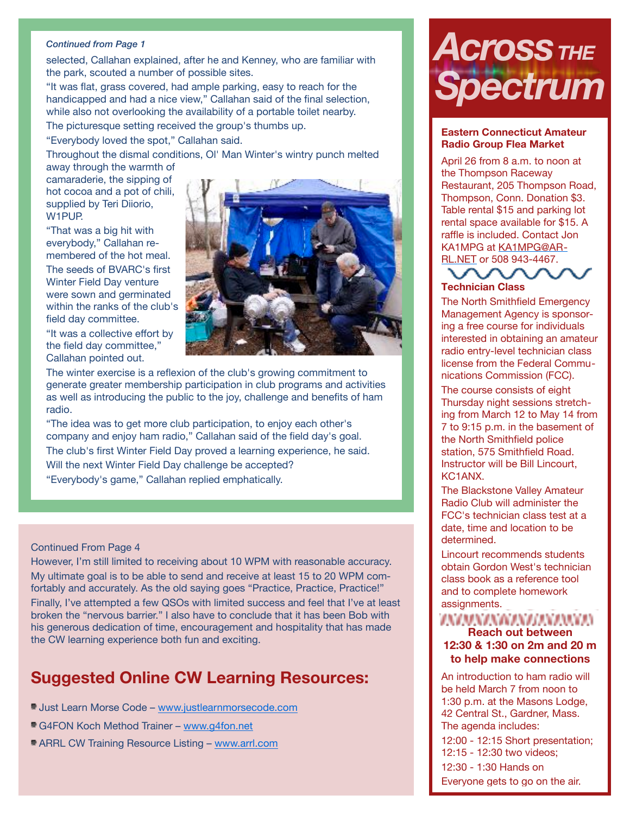#### *Continued from Page 1*

selected, Callahan explained, after he and Kenney, who are familiar with the park, scouted a number of possible sites.

"It was flat, grass covered, had ample parking, easy to reach for the handicapped and had a nice view," Callahan said of the final selection, while also not overlooking the availability of a portable toilet nearby.

The picturesque setting received the group's thumbs up.

"Everybody loved the spot," Callahan said.

Throughout the dismal conditions, Ol' Man Winter's wintry punch melted away through the warmth of

camaraderie, the sipping of hot cocoa and a pot of chili, supplied by Teri Diiorio, W<sub>1</sub>PUP.

"That was a big hit with everybody," Callahan remembered of the hot meal. The seeds of BVARC's first Winter Field Day venture were sown and germinated within the ranks of the club's field day committee.

"It was a collective effort by the field day committee," Callahan pointed out.



The winter exercise is a reflexion of the club's growing commitment to generate greater membership participation in club programs and activities as well as introducing the public to the joy, challenge and benefits of ham radio.

"The idea was to get more club participation, to enjoy each other's company and enjoy ham radio," Callahan said of the field day's goal. The club's first Winter Field Day proved a learning experience, he said. Will the next Winter Field Day challenge be accepted? "Everybody's game," Callahan replied emphatically.

#### Continued From Page 4

However, I'm still limited to receiving about 10 WPM with reasonable accuracy. My ultimate goal is to be able to send and receive at least 15 to 20 WPM comfortably and accurately. As the old saying goes "Practice, Practice, Practice!" Finally, I've attempted a few QSOs with limited success and feel that I've at least broken the "nervous barrier." I also have to conclude that it has been Bob with his generous dedication of time, encouragement and hospitality that has made the CW learning experience both fun and exciting.

## **Suggested Online CW Learning Resources:**

- **Just Learn Morse Code [www.justlearnmorsecode.com](http://www.justlearnmorsecode.com/)**
- G4FON Koch Method Trainer - [www.g4fon.net](http://www.g4fon.net/)
- ARRL CW Training Resource Listing [www.arrl.com](http://www.arrl.com/)

# $A$ *Cross The Spectrum*

#### **Eastern Connecticut Amateur Radio Group Flea Market**

April 26 from 8 a.m. to noon at the Thompson Raceway Restaurant, 205 Thompson Road, Thompson, Conn. Donation \$3. Table rental \$15 and parking lot rental space available for \$15. A raffle is included. Contact Jon KA1MPG at [KA1MPG@AR](mailto:KA1MPG@ARRL.NET)-[RL.NET](mailto:KA1MPG@ARRL.NET) or 508 943-4467.



The North Smithfield Emergency Management Agency is sponsoring a free course for individuals interested in obtaining an amateur radio entry-level technician class license from the Federal Communications Commission (FCC).

The course consists of eight Thursday night sessions stretching from March 12 to May 14 from 7 to 9:15 p.m. in the basement of the North Smithfield police station, 575 Smithfield Road. Instructor will be Bill Lincourt, KC1ANX.

The Blackstone Valley Amateur Radio Club will administer the FCC's technician class test at a date, time and location to be determined.

Lincourt recommends students obtain Gordon West's technician class book as a reference tool and to complete homework assignments.

#### ZNAMNANANZANAMNAN **Reach out between**

#### **12:30 & 1:30 on 2m and 20 m to help make connections**

An introduction to ham radio will be held March 7 from noon to 1:30 p.m. at the Masons Lodge, 42 Central St., Gardner, Mass. The agenda includes: 12:00 - 12:15 Short presentation; 12:15 - 12:30 two videos; 12:30 - 1:30 Hands on Everyone gets to go on the air.